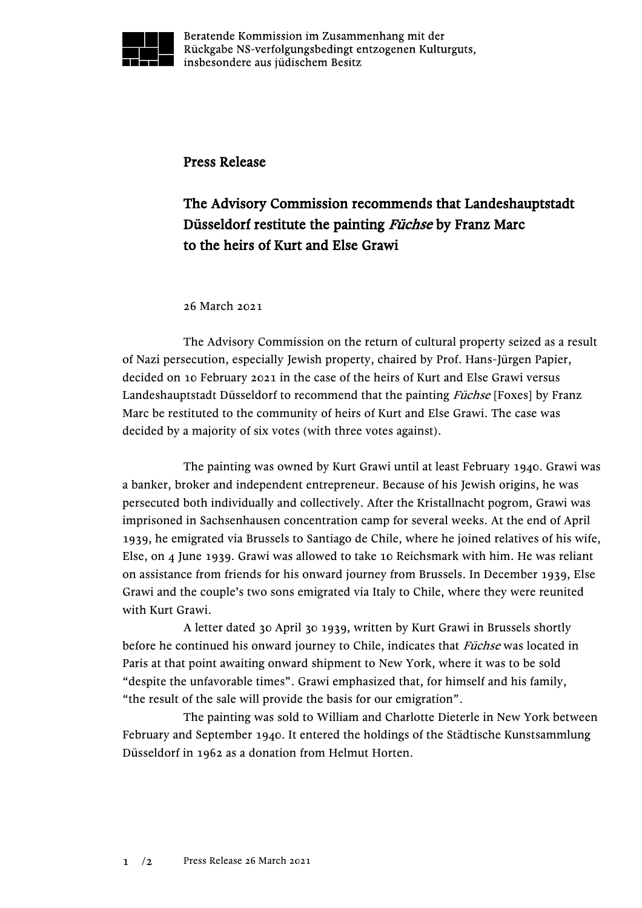

Beratende Kommission im Zusammenhang mit der Rückgabe NS-verfolgungsbedingt entzogenen Kulturguts, insbesondere aus jüdischem Besitz

## Press Release

## The Advisory Commission recommends that Landeshauptstadt Düsseldorf restitute the painting Füchse by Franz Marc to the heirs of Kurt and Else Grawi

## 26 March 2021

The Advisory Commission on the return of cultural property seized as a result of Nazi persecution, especially Jewish property, chaired by Prof. Hans-Jürgen Papier, decided on 10 February 2021 in the case of the heirs of Kurt and Else Grawi versus Landeshauptstadt Düsseldorf to recommend that the painting *Füchse* [Foxes] by Franz Marc be restituted to the community of heirs of Kurt and Else Grawi. The case was decided by a majority of six votes (with three votes against).

The painting was owned by Kurt Grawi until at least February 1940. Grawi was a banker, broker and independent entrepreneur. Because of his Jewish origins, he was persecuted both individually and collectively. After the Kristallnacht pogrom, Grawi was imprisoned in Sachsenhausen concentration camp for several weeks. At the end of April 1939, he emigrated via Brussels to Santiago de Chile, where he joined relatives of his wife, Else, on 4 June 1939. Grawi was allowed to take 10 Reichsmark with him. He was reliant on assistance from friends for his onward journey from Brussels. In December 1939, Else Grawi and the couple's two sons emigrated via Italy to Chile, where they were reunited with Kurt Grawi.

A letter dated 30 April 30 1939, written by Kurt Grawi in Brussels shortly before he continued his onward journey to Chile, indicates that Füchse was located in Paris at that point awaiting onward shipment to New York, where it was to be sold "despite the unfavorable times". Grawi emphasized that, for himself and his family, "the result of the sale will provide the basis for our emigration".

The painting was sold to William and Charlotte Dieterle in New York between February and September 1940. It entered the holdings of the Städtische Kunstsammlung Düsseldorf in 1962 as a donation from Helmut Horten.